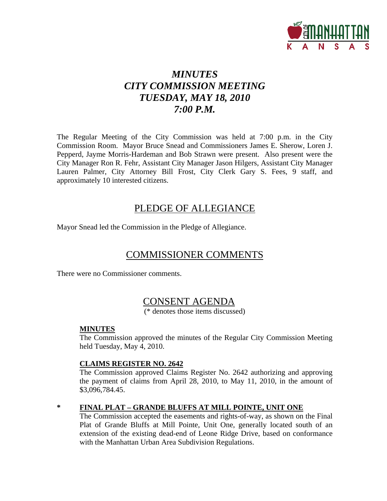

# *MINUTES CITY COMMISSION MEETING TUESDAY, MAY 18, 2010 7:00 P.M.*

The Regular Meeting of the City Commission was held at 7:00 p.m. in the City Commission Room. Mayor Bruce Snead and Commissioners James E. Sherow, Loren J. Pepperd, Jayme Morris-Hardeman and Bob Strawn were present. Also present were the City Manager Ron R. Fehr, Assistant City Manager Jason Hilgers, Assistant City Manager Lauren Palmer, City Attorney Bill Frost, City Clerk Gary S. Fees, 9 staff, and approximately 10 interested citizens.

# PLEDGE OF ALLEGIANCE

Mayor Snead led the Commission in the Pledge of Allegiance.

# COMMISSIONER COMMENTS

There were no Commissioner comments.

# CONSENT AGENDA

(\* denotes those items discussed)

# **MINUTES**

The Commission approved the minutes of the Regular City Commission Meeting held Tuesday, May 4, 2010.

# **CLAIMS REGISTER NO. 2642**

The Commission approved Claims Register No. 2642 authorizing and approving the payment of claims from April 28, 2010, to May 11, 2010, in the amount of \$3,096,784.45.

# **\* FINAL PLAT – GRANDE BLUFFS AT MILL POINTE, UNIT ONE**

The Commission accepted the easements and rights-of-way, as shown on the Final Plat of Grande Bluffs at Mill Pointe, Unit One, generally located south of an extension of the existing dead-end of Leone Ridge Drive, based on conformance with the Manhattan Urban Area Subdivision Regulations.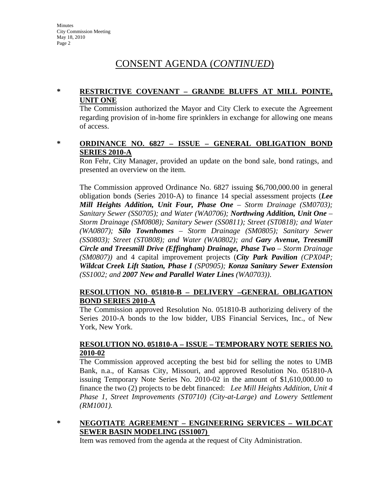# CONSENT AGENDA (*CONTINUED*)

# **\* RESTRICTIVE COVENANT – GRANDE BLUFFS AT MILL POINTE, UNIT ONE**

The Commission authorized the Mayor and City Clerk to execute the Agreement regarding provision of in-home fire sprinklers in exchange for allowing one means of access.

#### **\* ORDINANCE NO. 6827 – ISSUE – GENERAL OBLIGATION BOND SERIES 2010-A**

Ron Fehr, City Manager, provided an update on the bond sale, bond ratings, and presented an overview on the item.

The Commission approved Ordinance No. 6827 issuing \$6,700,000.00 in general obligation bonds (Series 2010-A) to finance 14 special assessment projects (*Lee Mill Heights Addition, Unit Four, Phase One – Storm Drainage (SM0703); Sanitary Sewer (SS0705); and Water (WA0706); Northwing Addition, Unit One – Storm Drainage (SM0808); Sanitary Sewer (SS0811); Street (ST0818); and Water (WA0807); Silo Townhomes – Storm Drainage (SM0805); Sanitary Sewer (SS0803); Street (ST0808); and Water (WA0802); and Gary Avenue, Treesmill Circle and Treesmill Drive (Effingham) Drainage, Phase Two – Storm Drainage (SM0807))* and 4 capital improvement projects (*City Park Pavilion (CPX04P; Wildcat Creek Lift Station, Phase I (SP0905); Konza Sanitary Sewer Extension (SS1002; and 2007 New and Parallel Water Lines (WA0703))*.

#### **RESOLUTION NO. 051810-B – DELIVERY –GENERAL OBLIGATION BOND SERIES 2010-A**

The Commission approved Resolution No. 051810-B authorizing delivery of the Series 2010-A bonds to the low bidder, UBS Financial Services, Inc., of New York, New York.

# **RESOLUTION NO. 051810-A – ISSUE – TEMPORARY NOTE SERIES NO. 2010-02**

The Commission approved accepting the best bid for selling the notes to UMB Bank, n.a., of Kansas City, Missouri, and approved Resolution No. 051810-A issuing Temporary Note Series No. 2010-02 in the amount of \$1,610,000.00 to finance the two (2) projects to be debt financed: *Lee Mill Heights Addition, Unit 4 Phase 1, Street Improvements (ST0710) (City-at-Large) and Lowery Settlement (RM1001).*

# **\* NEGOTIATE AGREEMENT – ENGINEERING SERVICES – WILDCAT SEWER BASIN MODELING (SS1007)**

Item was removed from the agenda at the request of City Administration.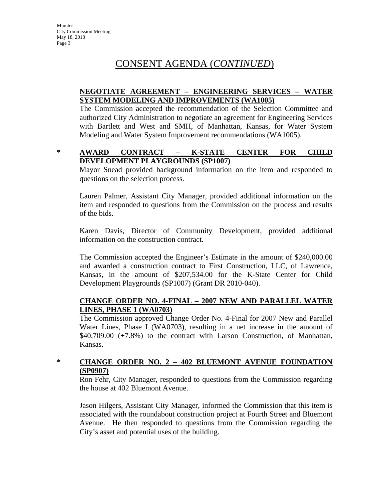**Minutes** City Commission Meeting May 18, 2010 Page 3

# CONSENT AGENDA (*CONTINUED*)

#### **NEGOTIATE AGREEMENT – ENGINEERING SERVICES – WATER SYSTEM MODELING AND IMPROVEMENTS (WA1005)**

The Commission accepted the recommendation of the Selection Committee and authorized City Administration to negotiate an agreement for Engineering Services with Bartlett and West and SMH, of Manhattan, Kansas, for Water System Modeling and Water System Improvement recommendations (WA1005).

### **\* AWARD CONTRACT – K-STATE CENTER FOR CHILD DEVELOPMENT PLAYGROUNDS (SP1007)**

Mayor Snead provided background information on the item and responded to questions on the selection process.

Lauren Palmer, Assistant City Manager, provided additional information on the item and responded to questions from the Commission on the process and results of the bids.

Karen Davis, Director of Community Development, provided additional information on the construction contract.

The Commission accepted the Engineer's Estimate in the amount of \$240,000.00 and awarded a construction contract to First Construction, LLC, of Lawrence, Kansas, in the amount of \$207,534.00 for the K-State Center for Child Development Playgrounds (SP1007) (Grant DR 2010-040).

# **CHANGE ORDER NO. 4-FINAL – 2007 NEW AND PARALLEL WATER LINES, PHASE 1 (WA0703)**

The Commission approved Change Order No. 4-Final for 2007 New and Parallel Water Lines, Phase I (WA0703), resulting in a net increase in the amount of \$40,709.00 (+7.8%) to the contract with Larson Construction, of Manhattan, Kansas.

# **\* CHANGE ORDER NO. 2 – 402 BLUEMONT AVENUE FOUNDATION (SP0907)**

Ron Fehr, City Manager, responded to questions from the Commission regarding the house at 402 Bluemont Avenue.

Jason Hilgers, Assistant City Manager, informed the Commission that this item is associated with the roundabout construction project at Fourth Street and Bluemont Avenue. He then responded to questions from the Commission regarding the City's asset and potential uses of the building.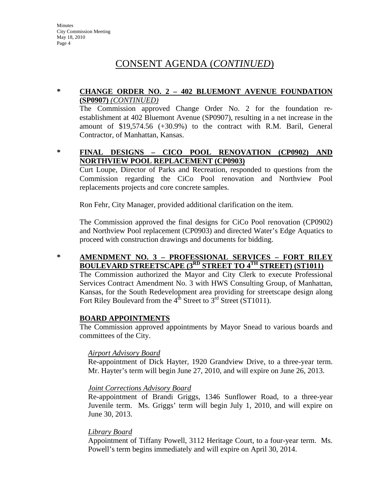# CONSENT AGENDA (*CONTINUED*)

# **\* CHANGE ORDER NO. 2 – 402 BLUEMONT AVENUE FOUNDATION (SP0907)** *(CONTINUED)*

The Commission approved Change Order No. 2 for the foundation reestablishment at 402 Bluemont Avenue (SP0907), resulting in a net increase in the amount of \$19,574.56 (+30.9%) to the contract with R.M. Baril, General Contractor, of Manhattan, Kansas.

# **\* FINAL DESIGNS – CICO POOL RENOVATION (CP0902) AND NORTHVIEW POOL REPLACEMENT (CP0903)**

Curt Loupe, Director of Parks and Recreation, responded to questions from the Commission regarding the CiCo Pool renovation and Northview Pool replacements projects and core concrete samples.

Ron Fehr, City Manager, provided additional clarification on the item.

The Commission approved the final designs for CiCo Pool renovation (CP0902) and Northview Pool replacement (CP0903) and directed Water's Edge Aquatics to proceed with construction drawings and documents for bidding.

# **\* AMENDMENT NO. 3 – PROFESSIONAL SERVICES – FORT RILEY BOULEVARD STREETSCAPE (3RD STREET TO 4TH STREET) (ST1011)**

The Commission authorized the Mayor and City Clerk to execute Professional Services Contract Amendment No. 3 with HWS Consulting Group, of Manhattan, Kansas, for the South Redevelopment area providing for streetscape design along Fort Riley Boulevard from the  $4^{th}$  Street to  $3^{rd}$  Street (ST1011).

# **BOARD APPOINTMENTS**

The Commission approved appointments by Mayor Snead to various boards and committees of the City.

#### *Airport Advisory Board*

Re-appointment of Dick Hayter, 1920 Grandview Drive, to a three-year term. Mr. Hayter's term will begin June 27, 2010, and will expire on June 26, 2013.

#### *Joint Corrections Advisory Board*

Re-appointment of Brandi Griggs, 1346 Sunflower Road, to a three-year Juvenile term. Ms. Griggs' term will begin July 1, 2010, and will expire on June 30, 2013.

#### *Library Board*

Appointment of Tiffany Powell, 3112 Heritage Court, to a four-year term. Ms. Powell's term begins immediately and will expire on April 30, 2014.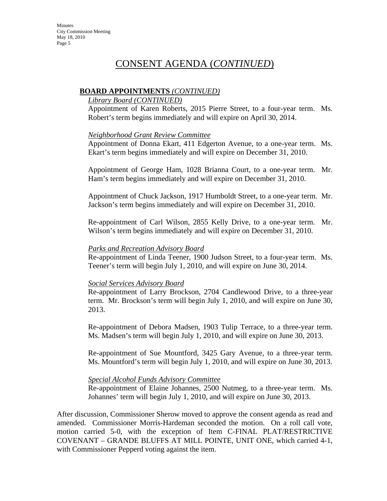# CONSENT AGENDA (*CONTINUED*)

#### **BOARD APPOINTMENTS** *(CONTINUED)*

#### *Library Board (CONTINUED)*

Appointment of Karen Roberts, 2015 Pierre Street, to a four-year term. Ms. Robert's term begins immediately and will expire on April 30, 2014.

#### *Neighborhood Grant Review Committee*

Appointment of Donna Ekart, 411 Edgerton Avenue, to a one-year term. Ms. Ekart's term begins immediately and will expire on December 31, 2010.

Appointment of George Ham, 1028 Brianna Court, to a one-year term. Mr. Ham's term begins immediately and will expire on December 31, 2010.

Appointment of Chuck Jackson, 1917 Humboldt Street, to a one-year term. Mr. Jackson's term begins immediately and will expire on December 31, 2010.

Re-appointment of Carl Wilson, 2855 Kelly Drive, to a one-year term. Mr. Wilson's term begins immediately and will expire on December 31, 2010.

#### *Parks and Recreation Advisory Board*

Re-appointment of Linda Teener, 1900 Judson Street, to a four-year term. Ms. Teener's term will begin July 1, 2010, and will expire on June 30, 2014.

#### *Social Services Advisory Board*

Re-appointment of Larry Brockson, 2704 Candlewood Drive, to a three-year term. Mr. Brockson's term will begin July 1, 2010, and will expire on June 30, 2013.

Re-appointment of Debora Madsen, 1903 Tulip Terrace, to a three-year term. Ms. Madsen's term will begin July 1, 2010, and will expire on June 30, 2013.

Re-appointment of Sue Mountford, 3425 Gary Avenue, to a three-year term. Ms. Mountford's term will begin July 1, 2010, and will expire on June 30, 2013.

#### *Special Alcohol Funds Advisory Committee*

Re-appointment of Elaine Johannes, 2500 Nutmeg, to a three-year term. Ms. Johannes' term will begin July 1, 2010, and will expire on June 30, 2013.

After discussion, Commissioner Sherow moved to approve the consent agenda as read and amended. Commissioner Morris-Hardeman seconded the motion. On a roll call vote, motion carried 5-0, with the exception of Item C-FINAL PLAT/RESTRICTIVE COVENANT – GRANDE BLUFFS AT MILL POINTE, UNIT ONE, which carried 4-1, with Commissioner Pepperd voting against the item.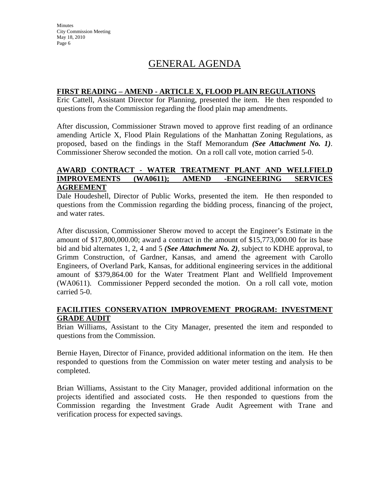# GENERAL AGENDA

### **FIRST READING – AMEND - ARTICLE X, FLOOD PLAIN REGULATIONS**

Eric Cattell, Assistant Director for Planning, presented the item. He then responded to questions from the Commission regarding the flood plain map amendments.

After discussion, Commissioner Strawn moved to approve first reading of an ordinance amending Article X, Flood Plain Regulations of the Manhattan Zoning Regulations, as proposed, based on the findings in the Staff Memorandum *(See Attachment No. 1)*. Commissioner Sherow seconded the motion. On a roll call vote, motion carried 5-0.

#### **AWARD CONTRACT - WATER TREATMENT PLANT AND WELLFIELD IMPROVEMENTS (WA0611); AMEND -ENGINEERING SERVICES AGREEMENT**

Dale Houdeshell, Director of Public Works, presented the item. He then responded to questions from the Commission regarding the bidding process, financing of the project, and water rates.

After discussion, Commissioner Sherow moved to accept the Engineer's Estimate in the amount of \$17,800,000.00; award a contract in the amount of \$15,773,000.00 for its base bid and bid alternates 1, 2, 4 and 5 *(See Attachment No. 2)*, subject to KDHE approval, to Grimm Construction, of Gardner, Kansas, and amend the agreement with Carollo Engineers, of Overland Park, Kansas, for additional engineering services in the additional amount of \$379,864.00 for the Water Treatment Plant and Wellfield Improvement (WA0611). Commissioner Pepperd seconded the motion. On a roll call vote, motion carried 5-0.

#### **FACILITIES CONSERVATION IMPROVEMENT PROGRAM: INVESTMENT GRADE AUDIT**

Brian Williams, Assistant to the City Manager, presented the item and responded to questions from the Commission.

Bernie Hayen, Director of Finance, provided additional information on the item. He then responded to questions from the Commission on water meter testing and analysis to be completed.

Brian Williams, Assistant to the City Manager, provided additional information on the projects identified and associated costs. He then responded to questions from the Commission regarding the Investment Grade Audit Agreement with Trane and verification process for expected savings.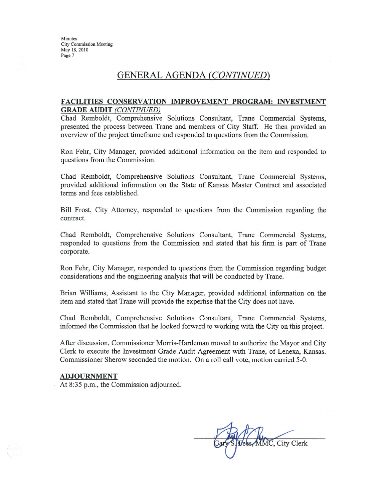# GENERAL AGENDA (CONTINUED)

#### **FACILITIES CONSERVATION IMPROVEMENT PROGRAM: INVESTMENT GRADE AUDIT (CONTINUED)**

Chad Remboldt, Comprehensive Solutions Consultant, Trane Commercial Systems, presented the process between Trane and members of City Staff. He then provided an overview of the project time frame and responded to questions from the Commission.

Ron Fehr, City Manager, provided additional information on the item and responded to questions from the Commission.

Chad Remboldt, Comprehensive Solutions Consultant, Trane Commercial Systems, provided additional information on the State of Kansas Master Contract and associated terms and fees established.

Bill Frost, City Attorney, responded to questions from the Commission regarding the contract.

Chad Remboldt, Comprehensive Solutions Consultant, Trane Commercial Systems, responded to questions from the Commission and stated that his firm is part of Trane corporate.

Ron Fehr, City Manager, responded to questions from the Commission regarding budget considerations and the engineering analysis that will be conducted by Trane.

Brian Williams, Assistant to the City Manager, provided additional information on the item and stated that Trane will provide the expertise that the City does not have.

Chad Remboldt, Comprehensive Solutions Consultant, Trane Commercial Systems, informed the Commission that he looked forward to working with the City on this project.

After discussion, Commissioner Morris-Hardeman moved to authorize the Mayor and City Clerk to execute the Investment Grade Audit Agreement with Trane, of Lenexa, Kansas. Commissioner Sherow seconded the motion. On a roll call vote, motion carried 5-0.

#### **ADJOURNMENT**

At 8:35 p.m., the Commission adjourned.

MMC, City Clerk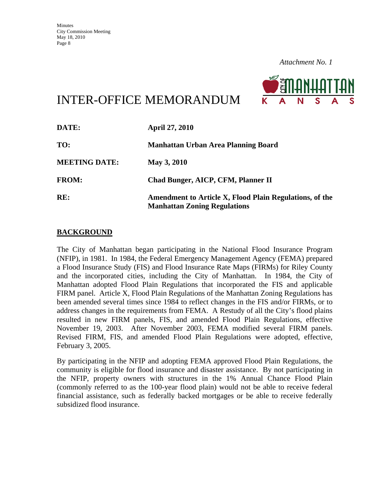

# INTER-OFFICE MEMORANDUM

| DATE:                | <b>April 27, 2010</b>                                                                          |
|----------------------|------------------------------------------------------------------------------------------------|
| TO:                  | <b>Manhattan Urban Area Planning Board</b>                                                     |
| <b>MEETING DATE:</b> | May 3, 2010                                                                                    |
| <b>FROM:</b>         | Chad Bunger, AICP, CFM, Planner II                                                             |
| RE:                  | Amendment to Article X, Flood Plain Regulations, of the<br><b>Manhattan Zoning Regulations</b> |

#### **BACKGROUND**

The City of Manhattan began participating in the National Flood Insurance Program (NFIP), in 1981. In 1984, the Federal Emergency Management Agency (FEMA) prepared a Flood Insurance Study (FIS) and Flood Insurance Rate Maps (FIRMs) for Riley County and the incorporated cities, including the City of Manhattan. In 1984, the City of Manhattan adopted Flood Plain Regulations that incorporated the FIS and applicable FIRM panel. Article X, Flood Plain Regulations of the Manhattan Zoning Regulations has been amended several times since 1984 to reflect changes in the FIS and/or FIRMs, or to address changes in the requirements from FEMA. A Restudy of all the City's flood plains resulted in new FIRM panels, FIS, and amended Flood Plain Regulations, effective November 19, 2003. After November 2003, FEMA modified several FIRM panels. Revised FIRM, FIS, and amended Flood Plain Regulations were adopted, effective, February 3, 2005.

By participating in the NFIP and adopting FEMA approved Flood Plain Regulations, the community is eligible for flood insurance and disaster assistance. By not participating in the NFIP, property owners with structures in the 1% Annual Chance Flood Plain (commonly referred to as the 100-year flood plain) would not be able to receive federal financial assistance, such as federally backed mortgages or be able to receive federally subsidized flood insurance.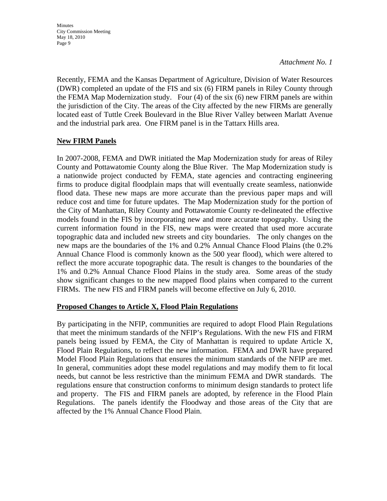**Minutes** City Commission Meeting May 18, 2010 Page 9

Recently, FEMA and the Kansas Department of Agriculture, Division of Water Resources (DWR) completed an update of the FIS and six (6) FIRM panels in Riley County through the FEMA Map Modernization study. Four (4) of the six (6) new FIRM panels are within the jurisdiction of the City. The areas of the City affected by the new FIRMs are generally located east of Tuttle Creek Boulevard in the Blue River Valley between Marlatt Avenue and the industrial park area. One FIRM panel is in the Tattarx Hills area.

# **New FIRM Panels**

In 2007-2008, FEMA and DWR initiated the Map Modernization study for areas of Riley County and Pottawatomie County along the Blue River. The Map Modernization study is a nationwide project conducted by FEMA, state agencies and contracting engineering firms to produce digital floodplain maps that will eventually create seamless, nationwide flood data. These new maps are more accurate than the previous paper maps and will reduce cost and time for future updates. The Map Modernization study for the portion of the City of Manhattan, Riley County and Pottawatomie County re-delineated the effective models found in the FIS by incorporating new and more accurate topography. Using the current information found in the FIS, new maps were created that used more accurate topographic data and included new streets and city boundaries. The only changes on the new maps are the boundaries of the 1% and 0.2% Annual Chance Flood Plains (the 0.2% Annual Chance Flood is commonly known as the 500 year flood), which were altered to reflect the more accurate topographic data. The result is changes to the boundaries of the 1% and 0.2% Annual Chance Flood Plains in the study area. Some areas of the study show significant changes to the new mapped flood plains when compared to the current FIRMs. The new FIS and FIRM panels will become effective on July 6, 2010.

# **Proposed Changes to Article X, Flood Plain Regulations**

By participating in the NFIP, communities are required to adopt Flood Plain Regulations that meet the minimum standards of the NFIP's Regulations. With the new FIS and FIRM panels being issued by FEMA, the City of Manhattan is required to update Article X, Flood Plain Regulations, to reflect the new information. FEMA and DWR have prepared Model Flood Plain Regulations that ensures the minimum standards of the NFIP are met. In general, communities adopt these model regulations and may modify them to fit local needs, but cannot be less restrictive than the minimum FEMA and DWR standards. The regulations ensure that construction conforms to minimum design standards to protect life and property. The FIS and FIRM panels are adopted, by reference in the Flood Plain Regulations. The panels identify the Floodway and those areas of the City that are affected by the 1% Annual Chance Flood Plain.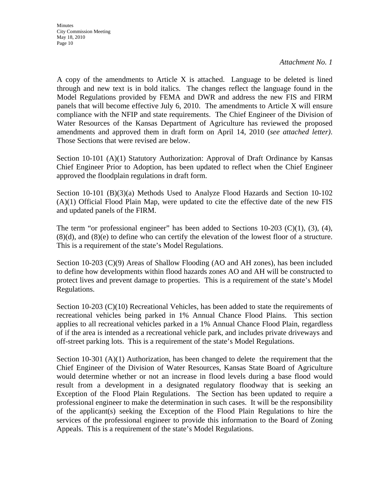A copy of the amendments to Article X is attached. Language to be deleted is lined through and new text is in bold italics. The changes reflect the language found in the Model Regulations provided by FEMA and DWR and address the new FIS and FIRM panels that will become effective July 6, 2010. The amendments to Article X will ensure compliance with the NFIP and state requirements. The Chief Engineer of the Division of Water Resources of the Kansas Department of Agriculture has reviewed the proposed amendments and approved them in draft form on April 14, 2010 (*see attached letter)*. Those Sections that were revised are below.

Section 10-101 (A)(1) Statutory Authorization: Approval of Draft Ordinance by Kansas Chief Engineer Prior to Adoption, has been updated to reflect when the Chief Engineer approved the floodplain regulations in draft form.

Section 10-101 (B)(3)(a) Methods Used to Analyze Flood Hazards and Section 10-102 (A)(1) Official Flood Plain Map, were updated to cite the effective date of the new FIS and updated panels of the FIRM.

The term "or professional engineer" has been added to Sections  $10\n-203$  (C)(1), (3), (4), (8)(d), and (8)(e) to define who can certify the elevation of the lowest floor of a structure. This is a requirement of the state's Model Regulations.

Section 10-203 (C)(9) Areas of Shallow Flooding (AO and AH zones), has been included to define how developments within flood hazards zones AO and AH will be constructed to protect lives and prevent damage to properties. This is a requirement of the state's Model Regulations.

Section 10-203 (C)(10) Recreational Vehicles, has been added to state the requirements of recreational vehicles being parked in 1% Annual Chance Flood Plains. This section applies to all recreational vehicles parked in a 1% Annual Chance Flood Plain, regardless of if the area is intended as a recreational vehicle park, and includes private driveways and off-street parking lots. This is a requirement of the state's Model Regulations.

Section 10-301  $(A)(1)$  Authorization, has been changed to delete the requirement that the Chief Engineer of the Division of Water Resources, Kansas State Board of Agriculture would determine whether or not an increase in flood levels during a base flood would result from a development in a designated regulatory floodway that is seeking an Exception of the Flood Plain Regulations. The Section has been updated to require a professional engineer to make the determination in such cases. It will be the responsibility of the applicant(s) seeking the Exception of the Flood Plain Regulations to hire the services of the professional engineer to provide this information to the Board of Zoning Appeals. This is a requirement of the state's Model Regulations.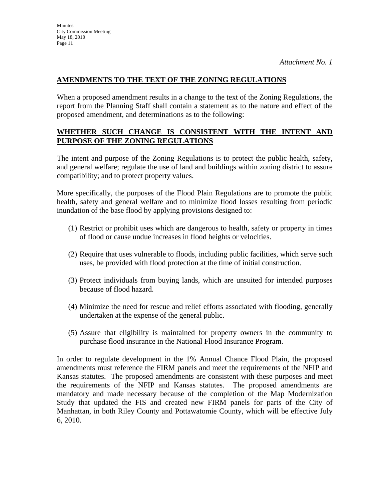# **AMENDMENTS TO THE TEXT OF THE ZONING REGULATIONS**

When a proposed amendment results in a change to the text of the Zoning Regulations, the report from the Planning Staff shall contain a statement as to the nature and effect of the proposed amendment, and determinations as to the following:

# **WHETHER SUCH CHANGE IS CONSISTENT WITH THE INTENT AND PURPOSE OF THE ZONING REGULATIONS**

The intent and purpose of the Zoning Regulations is to protect the public health, safety, and general welfare; regulate the use of land and buildings within zoning district to assure compatibility; and to protect property values.

More specifically, the purposes of the Flood Plain Regulations are to promote the public health, safety and general welfare and to minimize flood losses resulting from periodic inundation of the base flood by applying provisions designed to:

- (1) Restrict or prohibit uses which are dangerous to health, safety or property in times of flood or cause undue increases in flood heights or velocities.
- (2) Require that uses vulnerable to floods, including public facilities, which serve such uses, be provided with flood protection at the time of initial construction.
- (3) Protect individuals from buying lands, which are unsuited for intended purposes because of flood hazard.
- (4) Minimize the need for rescue and relief efforts associated with flooding, generally undertaken at the expense of the general public.
- (5) Assure that eligibility is maintained for property owners in the community to purchase flood insurance in the National Flood Insurance Program.

In order to regulate development in the 1% Annual Chance Flood Plain, the proposed amendments must reference the FIRM panels and meet the requirements of the NFIP and Kansas statutes. The proposed amendments are consistent with these purposes and meet the requirements of the NFIP and Kansas statutes. The proposed amendments are mandatory and made necessary because of the completion of the Map Modernization Study that updated the FIS and created new FIRM panels for parts of the City of Manhattan, in both Riley County and Pottawatomie County, which will be effective July 6, 2010.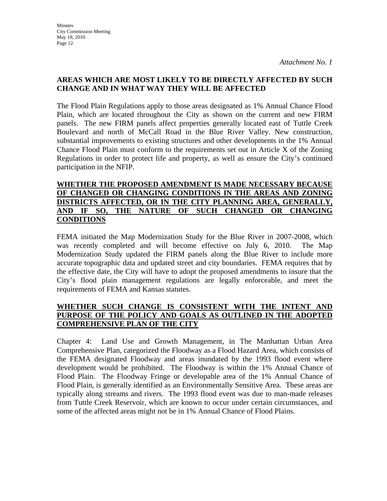# **AREAS WHICH ARE MOST LIKELY TO BE DIRECTLY AFFECTED BY SUCH CHANGE AND IN WHAT WAY THEY WILL BE AFFECTED**

The Flood Plain Regulations apply to those areas designated as 1% Annual Chance Flood Plain, which are located throughout the City as shown on the current and new FIRM panels. The new FIRM panels affect properties generally located east of Tuttle Creek Boulevard and north of McCall Road in the Blue River Valley. New construction, substantial improvements to existing structures and other developments in the 1% Annual Chance Flood Plain must conform to the requirements set out in Article X of the Zoning Regulations in order to protect life and property, as well as ensure the City's continued participation in the NFIP.

# **WHETHER THE PROPOSED AMENDMENT IS MADE NECESSARY BECAUSE OF CHANGED OR CHANGING CONDITIONS IN THE AREAS AND ZONING DISTRICTS AFFECTED, OR IN THE CITY PLANNING AREA, GENERALLY, AND IF SO, THE NATURE OF SUCH CHANGED OR CHANGING CONDITIONS**

FEMA initiated the Map Modernization Study for the Blue River in 2007-2008, which was recently completed and will become effective on July 6, 2010. The Map Modernization Study updated the FIRM panels along the Blue River to include more accurate topographic data and updated street and city boundaries. FEMA requires that by the effective date, the City will have to adopt the proposed amendments to insure that the City's flood plain management regulations are legally enforceable, and meet the requirements of FEMA and Kansas statutes.

# **WHETHER SUCH CHANGE IS CONSISTENT WITH THE INTENT AND PURPOSE OF THE POLICY AND GOALS AS OUTLINED IN THE ADOPTED COMPREHENSIVE PLAN OF THE CITY**

Chapter 4: Land Use and Growth Management, in The Manhattan Urban Area Comprehensive Plan, categorized the Floodway as a Flood Hazard Area, which consists of the FEMA designated Floodway and areas inundated by the 1993 flood event where development would be prohibited. The Floodway is within the 1% Annual Chance of Flood Plain. The Floodway Fringe or developable area of the 1% Annual Chance of Flood Plain, is generally identified as an Environmentally Sensitive Area. These areas are typically along streams and rivers. The 1993 flood event was due to man-made releases from Tuttle Creek Reservoir, which are known to occur under certain circumstances, and some of the affected areas might not be in 1% Annual Chance of Flood Plains.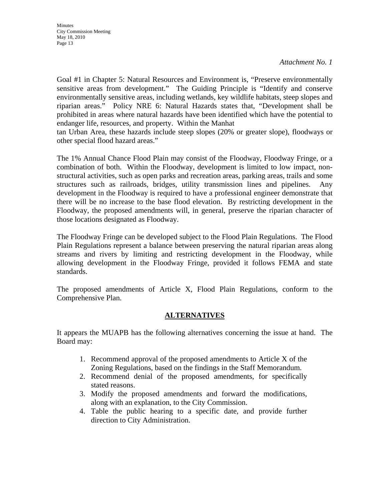Goal #1 in Chapter 5: Natural Resources and Environment is, "Preserve environmentally sensitive areas from development." The Guiding Principle is "Identify and conserve environmentally sensitive areas, including wetlands, key wildlife habitats, steep slopes and riparian areas." Policy NRE 6: Natural Hazards states that, "Development shall be prohibited in areas where natural hazards have been identified which have the potential to endanger life, resources, and property. Within the Manhat

tan Urban Area, these hazards include steep slopes (20% or greater slope), floodways or other special flood hazard areas."

The 1% Annual Chance Flood Plain may consist of the Floodway, Floodway Fringe, or a combination of both. Within the Floodway, development is limited to low impact, nonstructural activities, such as open parks and recreation areas, parking areas, trails and some structures such as railroads, bridges, utility transmission lines and pipelines. Any development in the Floodway is required to have a professional engineer demonstrate that there will be no increase to the base flood elevation. By restricting development in the Floodway, the proposed amendments will, in general, preserve the riparian character of those locations designated as Floodway.

The Floodway Fringe can be developed subject to the Flood Plain Regulations. The Flood Plain Regulations represent a balance between preserving the natural riparian areas along streams and rivers by limiting and restricting development in the Floodway, while allowing development in the Floodway Fringe, provided it follows FEMA and state standards.

The proposed amendments of Article X, Flood Plain Regulations, conform to the Comprehensive Plan.

# **ALTERNATIVES**

It appears the MUAPB has the following alternatives concerning the issue at hand. The Board may:

- 1. Recommend approval of the proposed amendments to Article X of the Zoning Regulations, based on the findings in the Staff Memorandum.
- 2. Recommend denial of the proposed amendments, for specifically stated reasons.
- 3. Modify the proposed amendments and forward the modifications, along with an explanation, to the City Commission.
- 4. Table the public hearing to a specific date, and provide further direction to City Administration.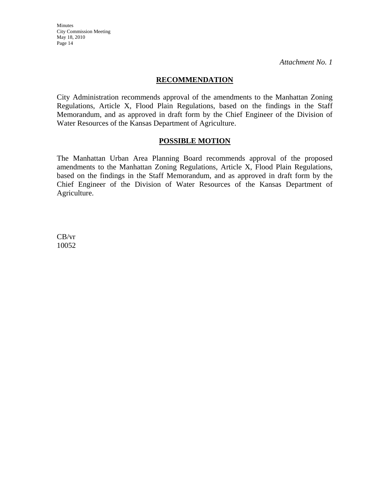Minutes City Commission Meeting May 18, 2010 Page 14

*Attachment No. 1* 

#### **RECOMMENDATION**

City Administration recommends approval of the amendments to the Manhattan Zoning Regulations, Article X, Flood Plain Regulations, based on the findings in the Staff Memorandum, and as approved in draft form by the Chief Engineer of the Division of Water Resources of the Kansas Department of Agriculture.

# **POSSIBLE MOTION**

The Manhattan Urban Area Planning Board recommends approval of the proposed amendments to the Manhattan Zoning Regulations, Article X, Flood Plain Regulations, based on the findings in the Staff Memorandum, and as approved in draft form by the Chief Engineer of the Division of Water Resources of the Kansas Department of Agriculture.

CB/vr 10052